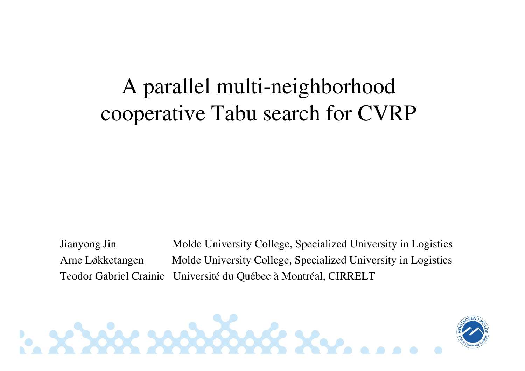#### A parallel multi-neighborhood cooperative Tabu search for CVRP

Jianyong Jin Molde University College, Specialized University in LogisticsArne Løkketangen Molde University College, Specialized University in Logistics Teodor Gabriel Crainic Université du Québec à Montréal, CIRRELT

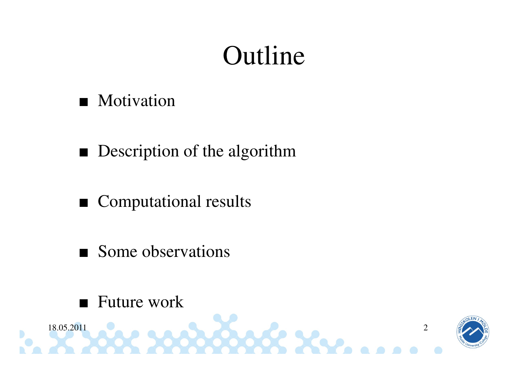# Outline

#### ■ Motivation

- Description of the algorithm
- Computational results
- Some observations
- ■Future work

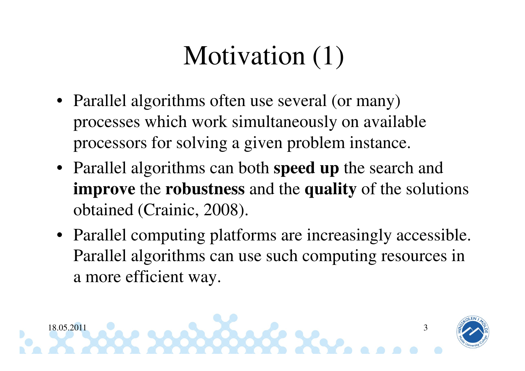# Motivation  $(1)$

- Parallel algorithms often use several (or many) processes which work simultaneously on available processors for solving a given problem instance.
- Parallel algorithms can both **speed up** the search and **improve** the **robustness** and the **quality** of the solutions obtained (Crainic, 2008).
- Parallel computing platforms are increasingly accessible. Parallel algorithms can use such computing resources in a more efficient way.

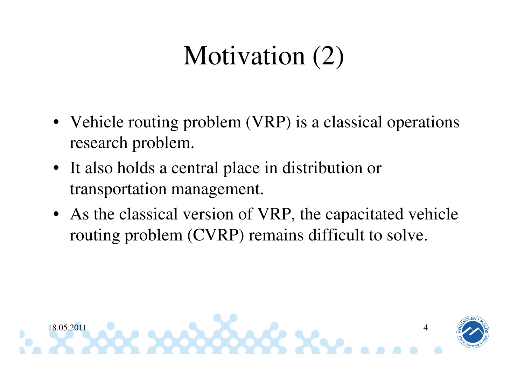# Motivation (2)

- Vehicle routing problem (VRP) is a classical operations research problem.
- It also holds a central place in distribution or transportation management.
- As the classical version of VRP, the capacitated vehicle routing problem (CVRP) remains difficult to solve.

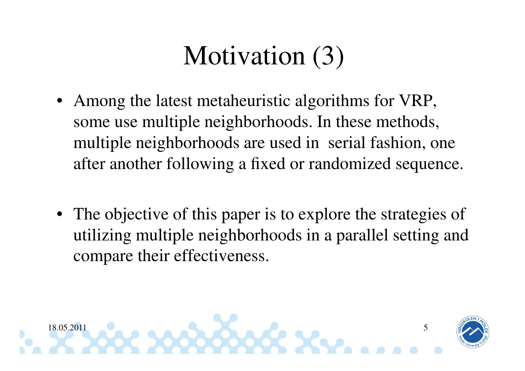# Motivation (3)

- • Among the latest metaheuristic algorithms for VRP, some use multiple neighborhoods. In these methods, multiple neighborhoods are used in serial fashion, one after another following a fixed or randomized sequence.
- The objective of this paper is to explore the strategies of utilizing multiple neighborhoods in a parallel setting and compare their effectiveness.

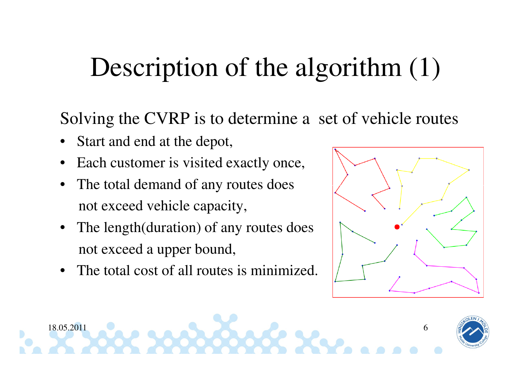## Description of the algorithm (1)

Solving the CVRP is to determine a set of vehicle routes

- •Start and end at the depot,
- •Each customer is visited exactly once,
- • The total demand of any routes does not exceed vehicle capacity,
- • The length(duration) of any routes does not exceed a upper bound,
- •The total cost of all routes is minimized.



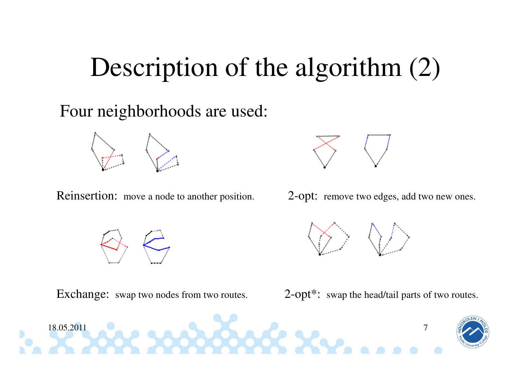### Description of the algorithm (2)

Four neighborhoods are used:



Reinsertion: move a node to another position.



2-opt: remove two edges, add two new ones.



Exchange: swap two nodes from two routes. 2-opt\*: swap the head/tail parts of two routes.

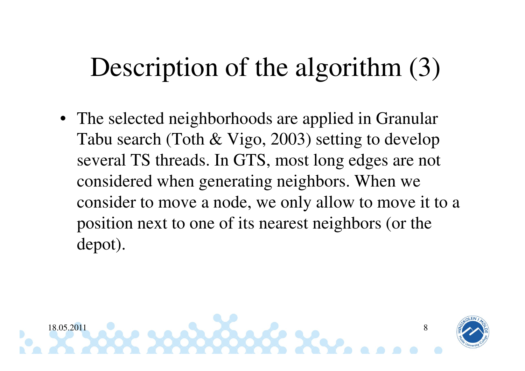# Description of the algorithm (3)

• The selected neighborhoods are applied in GranularTabu search (Toth & Vigo, 2003) setting to develop several TS threads. In GTS, most long edges are notconsidered when generating neighbors. When we consider to move a node, we only allow to move it to a position next to one of its nearest neighbors (or the depot).

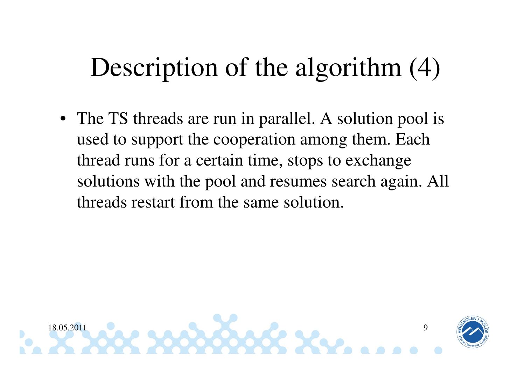# Description of the algorithm (4)

• The TS threads are run in parallel. A solution pool is used to support the cooperation among them. Each thread runs for a certain time, stops to exchange solutions with the pool and resumes search again. All threads restart from the same solution.

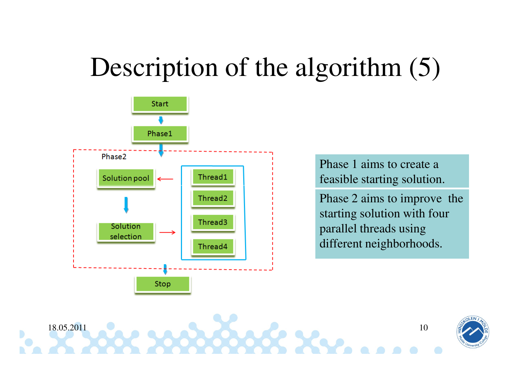## Description of the algorithm  $(5)$



Phase 1 aims to create a feasible starting solution.

Phase 2 aims to improve the starting solution with four parallel threads using different neighborhoods.

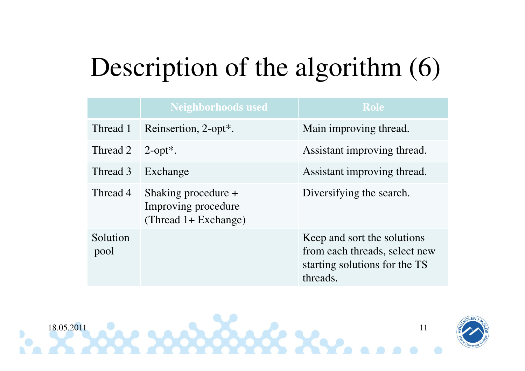# Description of the algorithm  $(6)$

|                  | <b>Neighborhoods used</b>                                          | <b>Role</b>                                                                                               |
|------------------|--------------------------------------------------------------------|-----------------------------------------------------------------------------------------------------------|
| Thread 1         | Reinsertion, 2-opt*.                                               | Main improving thread.                                                                                    |
| Thread 2         | $2$ -opt <sup>*</sup> .                                            | Assistant improving thread.                                                                               |
| Thread 3         | Exchange                                                           | Assistant improving thread.                                                                               |
| Thread 4         | Shaking procedure +<br>Improving procedure<br>(Thread 1+ Exchange) | Diversifying the search.                                                                                  |
| Solution<br>pool |                                                                    | Keep and sort the solutions<br>from each threads, select new<br>starting solutions for the TS<br>threads. |



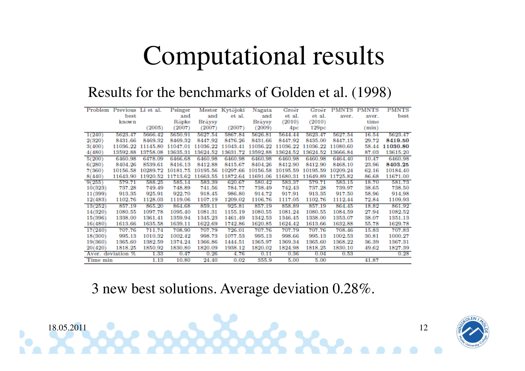## Computational results

#### Results for the benchmarks of Golden et al. (1998)

| Problem  | Previous          | Li et al. | Psinger  |          | Mester Kytöjoki | Nagata   | Groër             | Groër    | <b>PMNTS</b> | <b>PMNTS</b> | PMNTS    |
|----------|-------------------|-----------|----------|----------|-----------------|----------|-------------------|----------|--------------|--------------|----------|
|          | best              |           | and      | and      | et al.          | and      | et al.            | et al.   | aver.        | aver.        | best     |
|          | known             |           | Röpke    | Bräysy   |                 | Braysy   | (2010)            | (2010)   |              | time         |          |
|          |                   | (2005)    | (2007)   | (2007)   | (2007)          | (2009)   | 4pc               | 129pc    |              | min)         |          |
| 1(240)   | 5623.47           | 5666.42   | 5650.91  | 5627.54  | 5867.84         | 5626.81  | 5644.44           | 5623.47  | 5627.54      | 16.54        | 5623.47  |
| 2(320)   | 8431.66           | 8469.32   | 8469.32  | 8447.92  | 8476.26         | 8431.66  | 8447.92           | 8435.00  | 8447.15      | 29.72        | 8419.50  |
| 3(400)   | 11036.22          | 11145.80  | 11047.01 | 11036.22 | 11043.41        | 11036.22 | 11036.22          | 11036.22 | 11080.60     | 58.44        | 11030.80 |
| 4(480)   | 13592.88          | 13758.08  | 13635.31 | 13624.52 | 13631.72        | 13592.88 | 13624.52          | 13624.52 | 13666.84     | 87.03        | 13615.20 |
| 5(200)   | 6460.98           | 6478.09   | 6466.68  | 6460.98  | 6460.98         | 6460.98  | 6460.98           | 6460.98  | 6464.40      | 10.47        | 6460.98  |
| 6(280)   | 8404.26           | 8539.61   | 8416.13  | 8412.88  | 8415.67         | 8404.26  | 8412.90           | 8412.90  | 8468.10      | 23.96        | 8403.25  |
| 7(360)   | 10156.58          | 10289.72  | 10181.75 | 10195.56 | 10297.66        | 10156.58 | 10195.59          | 10195.59 | 10209.24     | 62.16        | 10184.40 |
| 8(440)   | 11643.90          | 11920.52  | 11713.62 | 11663.55 | 11872.64        | 11691.06 | 11680.31 11649.89 |          | 11725.82     | 86.68        | 11671.00 |
| 9(255)   | 579.71            | 588.25    | 585.14   | 583.39   | 620.67          | 580.42   | 583.37            | 579.71   | 583.15       | 18.70        | 581.73   |
| 10(323)  | 737.28            | 749.49    | 748.89   | 741.56   | 784.77          | 738.49   | 742.43            | 737.28   | 739.97       | 38.65        | 738.50   |
| 11(399)  | 913.35            | 925.91    | 922.70   | 918.45   | 986.80          | 914.72   | 917.91            | 913.35   | 917.50       | 58.96        | 914.98   |
| 12(483)  | 1102.76           | 1128.03   | 1119.06  | 1107.19  | 1209.02         | 1106.76  | 1117.05           | 1102.76  | 1112.44      | 72.84        | 1109.93  |
| 13(252)  | 857.19            | 865.20    | 864.68   | 859.11   | 925.81          | 857.19   | 858.89            | 857.19   | 864.45       | 18.82        | 861.92   |
| 14(320)  | 1080.55           | 1097.78   | 1095.40  | 1081.31  | 1155.19         | 1080.55  | 1081.24           | 1080.55  | 1084.59      | 27.94        | 1082.52  |
| 15(396)  | 1338.00           | 1361.41   | 1359.94  | 1345.23  | 1461.49         | 1342.53  | 1346.45           | 1338.00  | 1353.07      | 38.07        | 1351.13  |
| 16(480)  | 1613.66           | 1635.58   | 1639.11  | 1622.69  | 1742.86         | 1620.85  | 1624.42           | 1613.66  | 1632.88      | 55.78        | 1629.78  |
| 17(240)  | 707.76            | 711.74    | 708.90   | 707.79   | 726.01          | 707.76   | 707.79            | 707.76   | 708.46       | 15.83        | 707.83   |
| 18(300)  | 995.13            | 1010.32   | 1002.42  | 998.73   | 1077.53         | 995.13   | 998.66            | 995.13   | 1002.53      | 30.81        | 1000.27  |
| 19(360)  | 1365.60           | 1382.59   | 1374.24  | 1366.86  | 1444.51         | 1365.97  | 1369.34           | 1365.60  | 1368.22      | 36.39        | 1367.31  |
| 20(420)  | 1818.25           | 1850.92   | 1830.80  | 1820.09  | 1938.12         | 1820.02  | 1824.98           | 1818.25  | 1830.10      | 49.62        | 1827.39  |
|          | Aver. deviation % | 1.33      | 0.47     | 0.26     | 4.76            | 0.11     | 0.36              | 0.04     | 0.53         |              | 0.28     |
| Time min |                   | 1.13      | 10.80    | 24.40    | 0.02            | 355.9    | 5.00              | 5.00     |              | 41.87        |          |

3 new best solutions. Average deviation 0.28%.



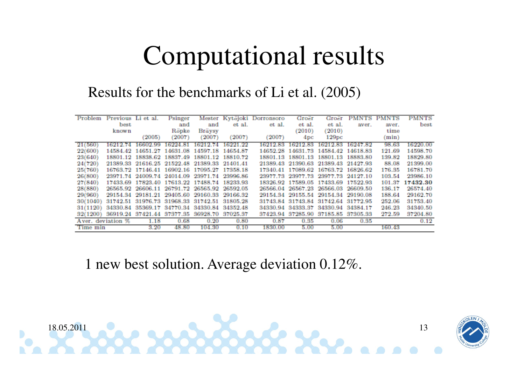## Computational results

Results for the benchmarks of Li et al. (2005)

| Problem  | Previous    | ы<br>et al.                         | Psinger                             |          | Mester Kytöjoki | Dorronsoro | Groer             | Groer                               | <b>PMN</b><br>тs | NTS    | <b>PMNTS</b> |
|----------|-------------|-------------------------------------|-------------------------------------|----------|-----------------|------------|-------------------|-------------------------------------|------------------|--------|--------------|
|          | best        |                                     | and                                 | and      | et al.          | et al.     | et al.            | et al.                              | aver.            | aver.  | best         |
|          | known       |                                     | Röpke                               | Bräysy   |                 |            | (2010)            | (2010)                              |                  | time   |              |
|          |             | (2005)                              | (2007)                              | (2007)   | (2007)          | (2007)     | 4pc               | 129pc                               |                  | min)   |              |
| 21(560)  | 16212.74    | 16602.99                            | 16224.81                            | 16212.74 | 16221.22        | 16212.83   | 16212.83          | 16212.83                            | 16247.82         | 98.63  | 16220.00     |
| 22(600)  | 14584.42    | 14651.27                            | 14631.08                            | 14597.18 | 14654.87        | 14652.28   | 14631.73          | 14584.42                            | 14618.83         | 121.69 | 14598.70     |
| 23(640)  |             | 18801.12 18838.62 18837.49          |                                     | 18801.12 | 18810.72        | 18801.13   | 18801.13          | 18801.13                            | 18883.80         | 139.82 | 18829.80     |
| 24(720)  |             | 21389.33 21616.25 21522.48 21389.33 |                                     |          | 21401.41        |            |                   | 21389.43 21390.63 21389.43 21427.93 |                  | 88.08  | 21399.00     |
| 25(760)  |             | 16763.72 17146.41 16902.16          |                                     | 17095.27 | 17358.18        |            |                   | 17340.41 17089.62 16763.72 16826.62 |                  | 176.35 | 16781.70     |
| 26(800)  |             | 23971.74 24009.74 24014.09 23971.74 |                                     |          | 23996.86        |            |                   | 23977.73 23977.73 23977.73 24127.10 |                  | 103.54 | 23986.10     |
| 27(840)  | 17433.69    |                                     | 17823.40 17613.22 17488.74          |          | 18233.93        |            | 18326.92 17589.05 | 17433.69                            | 17522.93         | 101.37 | 17432.30     |
| 28(880)  | 26565.92    |                                     | 26606.11 26791.72 26565.92          |          | 26592.05        | 26566.04   | 26567.23 26566.03 |                                     | 26609.50         | 136.17 | 26574.40     |
| 29(960)  |             | 29154.34 29181.21 29405.60 29160.33 |                                     |          | 29166.32        |            |                   | 29154.34 29155.54 29154.34 29190.08 |                  | 188.64 | 29162.70     |
| 30(1040) | 31742.51    |                                     | 31976.73 31968.33 31742.51 31805.28 |          |                 |            |                   | 31743.84 31743.84 31742.64 31772.95 |                  | 252.06 | 31753.40     |
| 31(1120) | 34330.84    |                                     | 35369.17 34770.34 34330.84          |          | 34352.48        |            | 34330.94 34333.37 | 34330.94 34384.17                   |                  | 246.23 | 34340.50     |
| 32(1200) | 36919.24    |                                     | 37421.44 37377.35                   | 36928.70 | 37025.37        |            |                   | 37423.94 37285.90 37185.85 37305.33 |                  | 272.59 | 37204.80     |
| A ver.   | deviation % | 1.18                                | 0.68                                | 0.20     | 0.80            | 0.87       | 0.35              | 0.06                                | 0.35             |        | 0.12         |
| Time min |             | 3.20                                | 48.80                               | 104.30   | 0.10            | 1830.00    | 5.00              | 5.00                                |                  | 160.43 |              |

1 new best solution. Average deviation 0.12%.

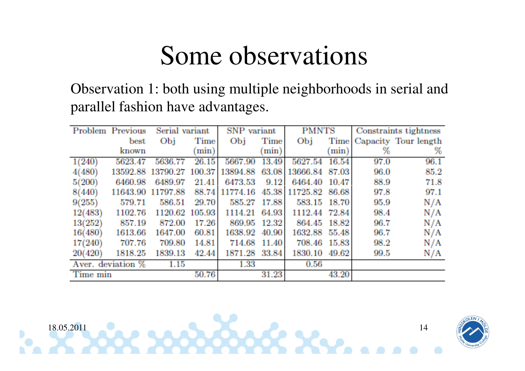Observation 1: both using multiple neighborhoods in serial and parallel fashion have advantages.

|          | Problem Previous  | Serial variant |          | SNP variant  |             | <b>PMNTS</b>  |             | Constraints tightness |                      |
|----------|-------------------|----------------|----------|--------------|-------------|---------------|-------------|-----------------------|----------------------|
|          | best              | Obj            | Time     | Obj          | <b>Time</b> | Obj           | <b>Time</b> |                       | Capacity Tour length |
|          | known             |                | $(\min)$ |              | min)        |               | (min)       | ℅                     | %                    |
| 1(240)   | 5623.47           | 5636.77        | 26.15    | 5667.90      | 13.49       | 5627.54       | 16.54       | 97.0                  | 96.1                 |
| 4(480)   | 13592.88          | 13790.27       | 100.37   | 13894.88     | 63.08       | 13666.84      | 87.03       | 96.0                  | 85.2                 |
| 5(200)   | 6460.98           | 6489.97        | 21.41    | 6473.53      | 9.12        | 6464.40       | 10.47       | 88.9                  | 71.8                 |
| 8(440)   | 11643.90          | 11797.88       | 88.74    | 11774.16     | 45.38       | 11725.82      | 86.68       | 97.8                  | 97.1                 |
| 9(255)   | 579.71            | 586.51         | 29.70    | 585.27 17.88 |             | 583.15        | 18.70       | 95.9                  | N/A                  |
| 12(483)  | 1102.76           | 1120.62 105.93 |          | 1114.21      | 64.93       | 1112.44 72.84 |             | 98.4                  | N/A                  |
| 13(252)  | 857.19            | 872.00         | 17.26    | 869.95       | 12.32       | 864.45        | 18.82       | 96.7                  | N/A                  |
| 16(480)  | 1613.66           | 1647.00        | 60.81    | 1638.92      | 40.90       | 1632.88       | 55.48       | 96.7                  | N/A                  |
| 17(240)  | 707.76            | 709.80         | 14.81    | 714.68       | 11.40       | 708.46        | 15.83       | 98.2                  | N/A                  |
| 20(420)  | 1818.25           | 1839.13        | 42.44    | 1871.28      | 33.84       | 1830.10       | 49.62       | 99.5                  | N/A                  |
|          | Aver. deviation % | 1.15           |          | 1.33         |             | 0.56          |             |                       |                      |
| Time min |                   |                | 50.76    |              | 31.23       |               | 43.20       |                       |                      |

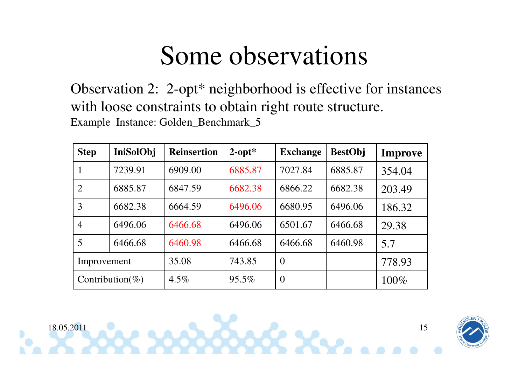Observation 2: 2-opt\* neighborhood is effective for instances with loose constraints to obtain right route structure.Example Instance: Golden\_Benchmark\_5

| <b>Step</b>     | IniSolObj | <b>Reinsertion</b> | $2$ -opt $*$ | <b>Exchange</b> | <b>BestObj</b> | <b>Improve</b> |
|-----------------|-----------|--------------------|--------------|-----------------|----------------|----------------|
|                 | 7239.91   | 6909.00            | 6885.87      | 7027.84         | 6885.87        | 354.04         |
| 2               | 6885.87   | 6847.59            | 6682.38      | 6866.22         | 6682.38        | 203.49         |
| 3               | 6682.38   | 6664.59            | 6496.06      | 6680.95         | 6496.06        | 186.32         |
| $\overline{4}$  | 6496.06   | 6466.68            | 6496.06      | 6501.67         | 6466.68        | 29.38          |
| 5               | 6466.68   | 6460.98            | 6466.68      | 6466.68         | 6460.98        | 5.7            |
| Improvement     |           | 35.08              | 743.85       | $\overline{0}$  |                | 778.93         |
| Contribution(%) |           | $4.5\%$            | $95.5\%$     | $\overline{0}$  |                | $100\%$        |



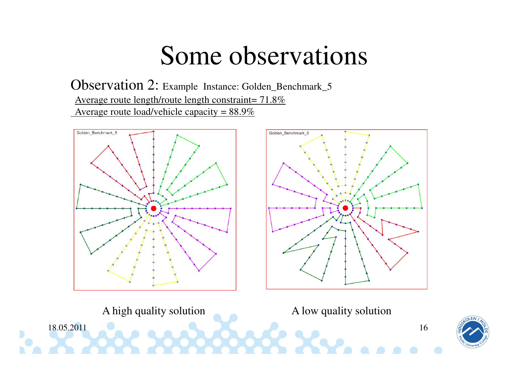$\frac{1}{2}$  and a set of  $\frac{1}{2}$  and  $\frac{1}{2}$  and  $\frac{1}{2}$  and  $\frac{1}{2}$  and  $\frac{1}{2}$  and  $\frac{1}{2}$  and  $\frac{1}{2}$  and  $\frac{1}{2}$  and  $\frac{1}{2}$  and  $\frac{1}{2}$  and  $\frac{1}{2}$  and  $\frac{1}{2}$  and  $\frac{1}{2}$  and  $\frac{1}{2}$  and  $\$ 

Observation 2: Example Instance: Golden\_Benchmark\_5Average route length/route length constraint=  $71.8\%$ Average route load/vehicle capacity =  $88.9\%$ 









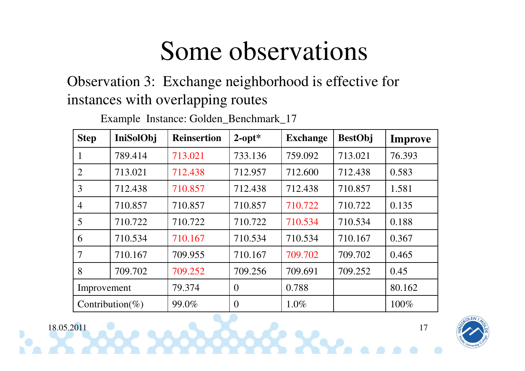Observation 3: Exchange neighborhood is effective for instances with overlapping routes

| <b>Step</b>     | IniSolObj | <b>Reinsertion</b> | $2$ -opt $*$   | <b>Exchange</b> | <b>BestObj</b> | <b>Improve</b> |
|-----------------|-----------|--------------------|----------------|-----------------|----------------|----------------|
| $\mathbf{1}$    | 789.414   | 713.021            | 733.136        | 759.092         | 713.021        | 76.393         |
| 2               | 713.021   | 712.438            | 712.957        | 712.600         | 712.438        | 0.583          |
| 3               | 712.438   | 710.857            | 712.438        | 712.438         | 710.857        | 1.581          |
| $\overline{4}$  | 710.857   | 710.857            | 710.857        | 710.722         | 710.722        | 0.135          |
| 5               | 710.722   | 710.722            | 710.722        | 710.534         | 710.534        | 0.188          |
| 6               | 710.534   | 710.167            | 710.534        | 710.534         | 710.167        | 0.367          |
| $\overline{7}$  | 710.167   | 709.955            | 710.167        | 709.702         | 709.702        | 0.465          |
| 8               | 709.702   | 709.252            | 709.256        | 709.691         | 709.252        | 0.45           |
| Improvement     |           | 79.374             | $\overline{0}$ | 0.788           |                | 80.162         |
| Contribution(%) |           | 99.0%              | $\theta$       | $1.0\%$         |                | 100%           |

 $1$ 

Example Instance: Golden\_Benchmark\_17

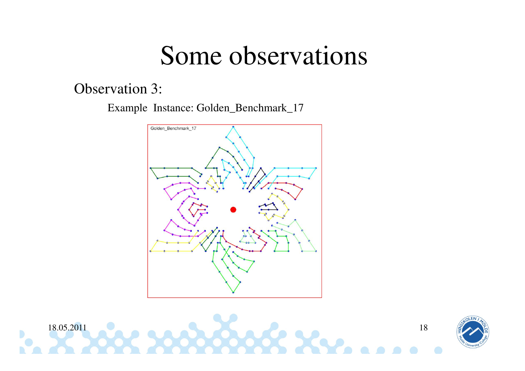#### Observation 3:

Example Instance: Golden\_Benchmark\_17





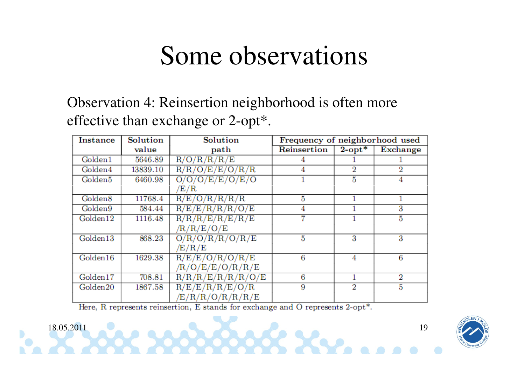#### Observation 4: Reinsertion neighborhood is often more effective than exchange or 2-opt\*.

| <b>Instance</b>     | Solution | Solution                     | Frequency of neighborhood used |              |                 |
|---------------------|----------|------------------------------|--------------------------------|--------------|-----------------|
|                     | value    | path                         | Reinsertion                    | $2$ -opt $*$ | <b>Exchange</b> |
| Golden1             | 5646.89  | R/O/R/R/R/E                  |                                |              |                 |
| Golden4             | 13839.10 | R/R/O/E/E/O/R/R              |                                | 2            | 2               |
| Golden5             | 6460.98  | O/O/O/E/E/O/E/O              |                                | 5            |                 |
|                     |          | E/R                          |                                |              |                 |
| Golden <sub>8</sub> | 11768.4  | R/E/O/R/R/R/R                | 5                              |              |                 |
| Golden9             | 584.44   | R/E/E/R/R/R/O/E              | 4                              |              | 3               |
| Golden12            | 1116.48  | R/R/R/E/R/E/R/E              |                                |              | 5               |
|                     |          | /R/R/E/O/E                   |                                |              |                 |
| Golden13            | 868.23   | O/R/O/R/R/O/R/E              | 5                              | 3            | 3               |
|                     |          | $\rm \langle E/ R/ E\rangle$ |                                |              |                 |
| Golden16            | 1629.38  | R/E/E/O/R/O/R/E              | 6                              | 4            | 6               |
|                     |          | R/O/E/E/O/R/R/E              |                                |              |                 |
| Golden17            | 708.81   | R/R/R/E/R/R/R/O/E            | 6                              |              | 2               |
| Golden20            | 1867.58  | R/E/E/R/R/E/O/R              | 9                              | 2            | 5               |
|                     |          | E/R/R/O/R/R/R/E              |                                |              |                 |

 $1$  and a set of  $\sim$  and  $\sim$  19

Here, R represents reinsertion, E stands for exchange and O represents 2-opt<sup>\*</sup>.

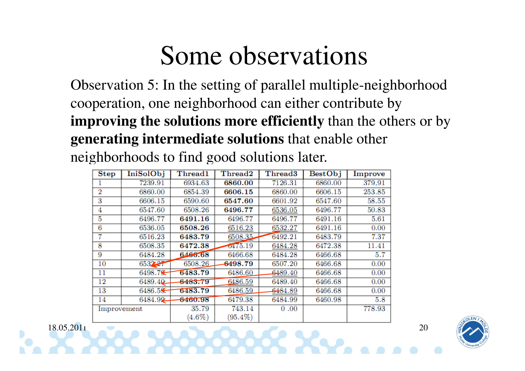Observation 5: In the setting of parallel multiple-neighborhood cooperation, one neighborhood can either contribute by **improving the solutions more efficiently** than the others or by **generating intermediate solutions** that enable other neighborhoods to find good solutions later.

| <b>Step</b>    | <b>IniSolObj</b> | Thread1   | Thread2             | Thread <sub>3</sub> | <b>BestObj</b> | Improve |
|----------------|------------------|-----------|---------------------|---------------------|----------------|---------|
|                | 7239.91          | 6934.63   | 6860.00             | 7126.31             | 6860.00        | 379.91  |
| $\overline{2}$ | 6860.00          | 6854.39   | 6606.15             | 6860.00             | 6606.15        | 253.85  |
| 3              | 6606.15          | 6590.60   | 6547.60             | 6601.92             | 6547.60        | 58.55   |
| 4              | 6547.60          | 6508.26   | 6496.77             | 6536.05             | 6496.77        | 50.83   |
| 5              | 6496.77          | 6491.16   | 6496.77             | 6496.77             | 6491.16        | 5.61    |
| 6              | 6536.05          | 6508.26   | 6516.23             | 6532.27             | 6491.16        | 0.00    |
| 7              | 6516.23          | 6483.79   | 6508.35             | 6492.21             | 6483.79        | 7.37    |
| 8              | 6508.35          | 6472.38   | 0475.19             | 6484.28             | 6472.38        | 11.41   |
| 9              | 6484.28          | 6466.68   | 6466.68             | 6484.28             | 6466.68        | 5.7     |
| $10\,$         | 653227           | 6508.26   | <del>64</del> 98.79 | 6507.20             | 6466.68        | 0.00    |
| 11             | 6498.7           | 6483.79   | 6486.60             | 6489.40             | 6466.68        | 0.00    |
| 12             | 6489.40          | 6483.79   | 6486.59             | 6489.40             | 6466.68        | 0.00    |
| 13             | 6486.5           | 6483.79   | 6486.59             | <del>64</del> 84.89 | 6466.68        | 0.00    |
| 14             | 6484.92          | 6460.98   | 6479.38             | 6484.99             | 6460.98        | 5.8     |
| Improvement    |                  | 35.79     | 743.14              | 0.00                |                | 778.93  |
|                |                  | $(4.6\%)$ | $(95.4\%)$          |                     |                |         |

 $\sim$  20  $\sim$  0.000  $\sim$  0.000  $\sim$  0.000  $\sim$  20

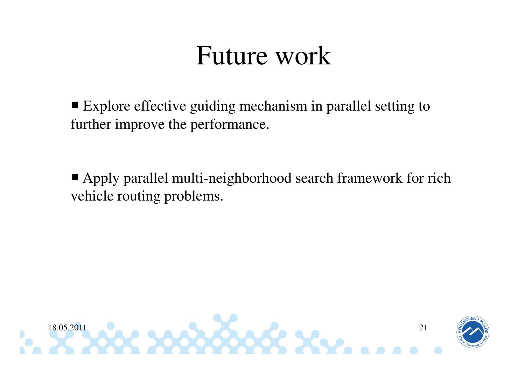#### Future work

■ Explore effective guiding mechanism in parallel setting to further improve the performance.

■ Apply parallel multi-neighborhood search framework for rich vehicle routing problems.

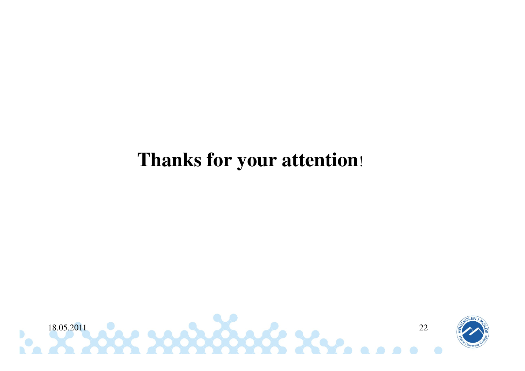#### **Thanks for your attention**!



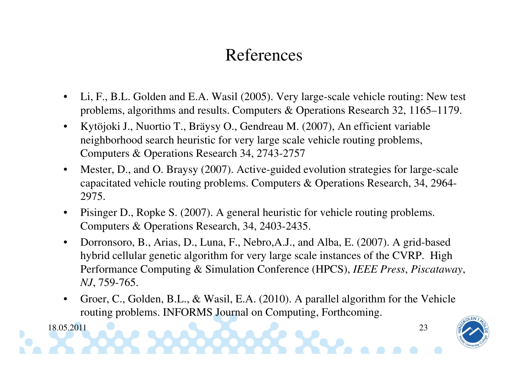#### References

- • Li, F., B.L. Golden and E.A. Wasil (2005). Very large-scale vehicle routing: New test problems, algorithms and results. Computers & Operations Research 32, 1165–1179.
- • Kytöjoki J., Nuortio T., Bräysy O., Gendreau M. (2007), An efficient variable neighborhood search heuristic for very large scale vehicle routing problems, Computers & Operations Research 34, 2743-2757
- • Mester, D., and O. Braysy (2007). Active-guided evolution strategies for large-scale capacitated vehicle routing problems. Computers & Operations Research, 34, 2964-2975.
- • Pisinger D., Ropke S. (2007). A general heuristic for vehicle routing problems. Computers & Operations Research, 34, 2403-2435.
- $\bullet$  Dorronsoro, B., Arias, D., Luna, F., Nebro,A.J., and Alba, E. (2007). A grid-based hybrid cellular genetic algorithm for very large scale instances of the CVRP. High Performance Computing & Simulation Conference (HPCS), *IEEE Press*, *Piscataway*, *NJ*, 759-765.
- • Groer, C., Golden, B.L., & Wasil, E.A. (2010). A parallel algorithm for the Vehicle routing problems. INFORMS Journal on Computing, Forthcoming.

 $\frac{1}{2}$  and a set of  $\frac{1}{2}$  and  $\frac{1}{2}$  and  $\frac{1}{2}$  and  $\frac{1}{2}$   $\frac{1}{2}$